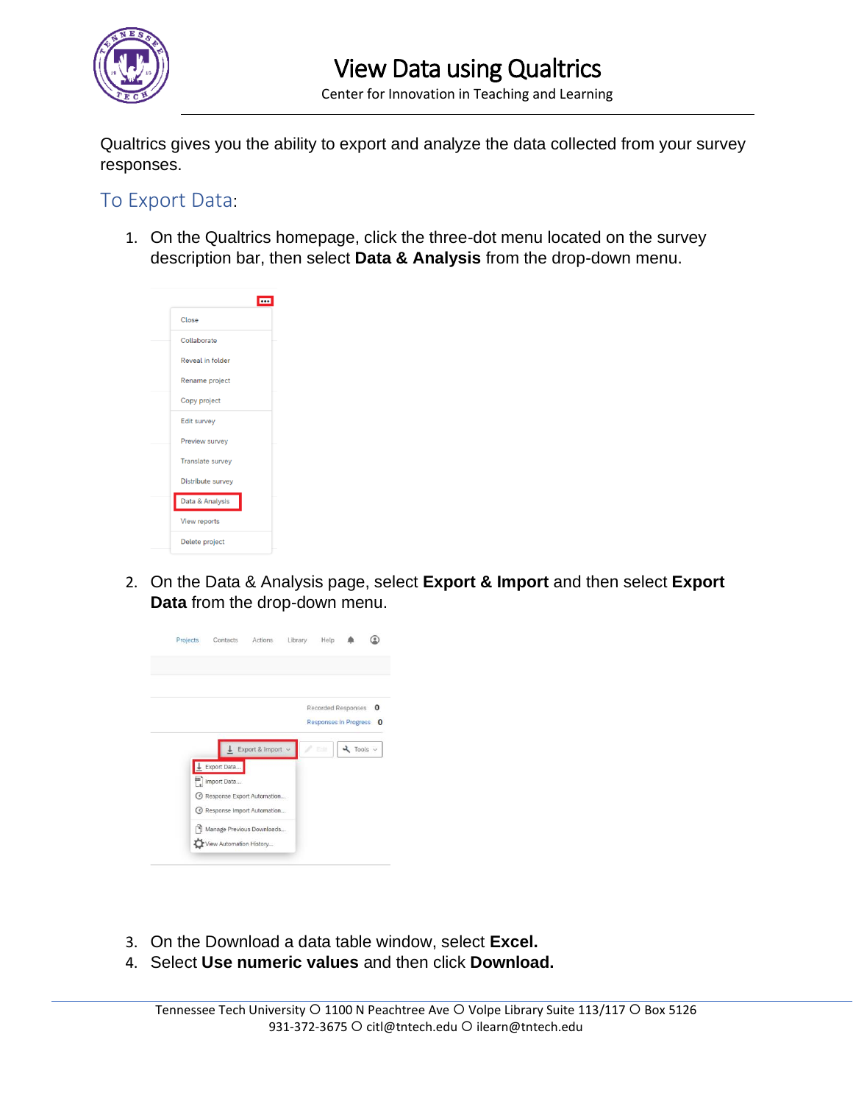

Center for Innovation in Teaching and Learning

Qualtrics gives you the ability to export and analyze the data collected from your survey responses.

## To Export Data:

1. On the Qualtrics homepage, click the three-dot menu located on the survey description bar, then select **Data & Analysis** from the drop-down menu.



2. On the Data & Analysis page, select **Export & Import** and then select **Export Data** from the drop-down menu.



- 3. On the Download a data table window, select **Excel.**
- 4. Select **Use numeric values** and then click **Download.**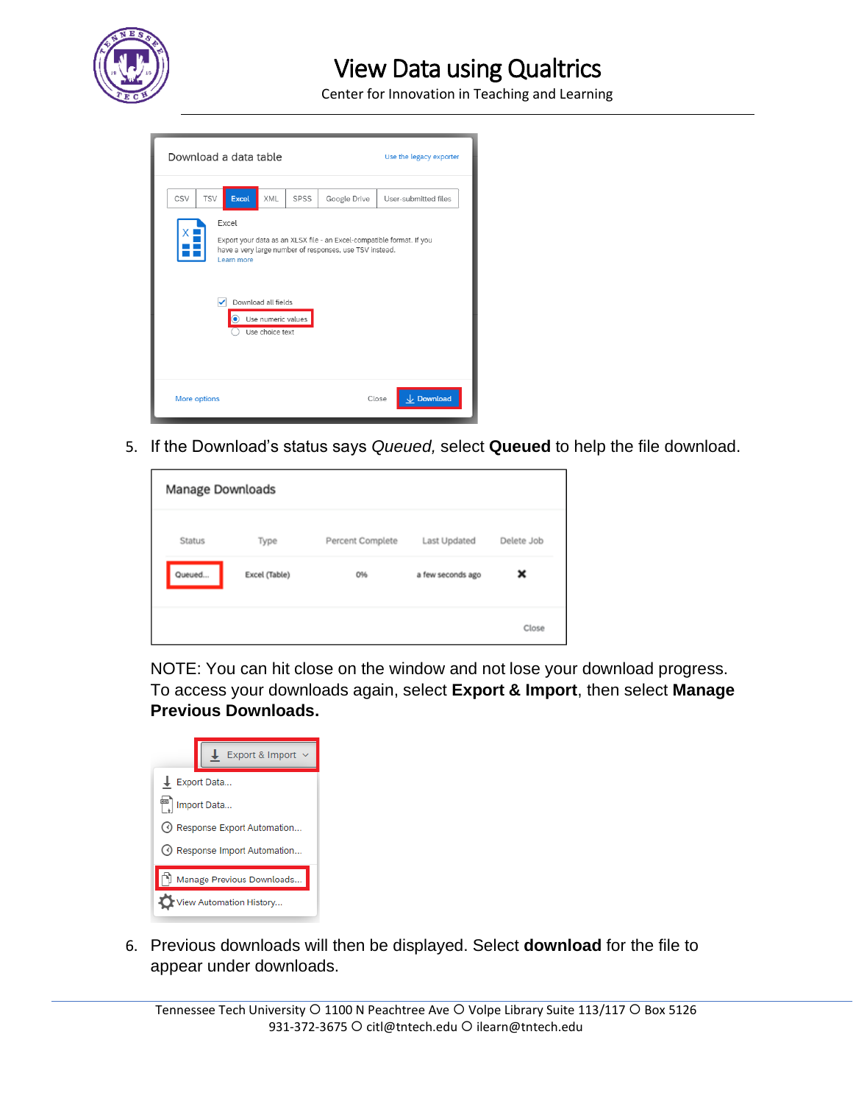

## View Data using Qualtrics

Center for Innovation in Teaching and Learning

| Download a data table                                                                                                                                                                                                   |            |              |     |      |              | Use the legacy exporter |                      |
|-------------------------------------------------------------------------------------------------------------------------------------------------------------------------------------------------------------------------|------------|--------------|-----|------|--------------|-------------------------|----------------------|
| CSV                                                                                                                                                                                                                     | <b>TSV</b> | <b>Excel</b> | XML | SPSS | Google Drive |                         | User-submitted files |
| Excel<br>Export your data as an XLSX file - an Excel-compatible format. If you<br>have a very large number of responses, use TSV instead.<br>Learn more<br>Download all fields<br>Use numeric values<br>Use choice text |            |              |     |      |              |                         |                      |
| More options                                                                                                                                                                                                            |            |              |     |      | Close        | $\downarrow$ Download   |                      |

5. If the Download's status says *Queued,* select **Queued** to help the file download.

| Manage Downloads |               |                  |                   |            |
|------------------|---------------|------------------|-------------------|------------|
| Status           | Type          | Percent Complete | Last Updated      | Delete Job |
| Queued           | Excel (Table) | 0%               | a few seconds ago | ×          |
|                  |               |                  |                   | Close      |

NOTE: You can hit close on the window and not lose your download progress. To access your downloads again, select **Export & Import**, then select **Manage Previous Downloads.** 

| Export & Import            |  |  |  |  |  |
|----------------------------|--|--|--|--|--|
| $L$ Export Data            |  |  |  |  |  |
| Import Data                |  |  |  |  |  |
| Response Export Automation |  |  |  |  |  |
| Response Import Automation |  |  |  |  |  |
| Manage Previous Downloads  |  |  |  |  |  |
| lew Automation History     |  |  |  |  |  |

6. Previous downloads will then be displayed. Select **download** for the file to appear under downloads.